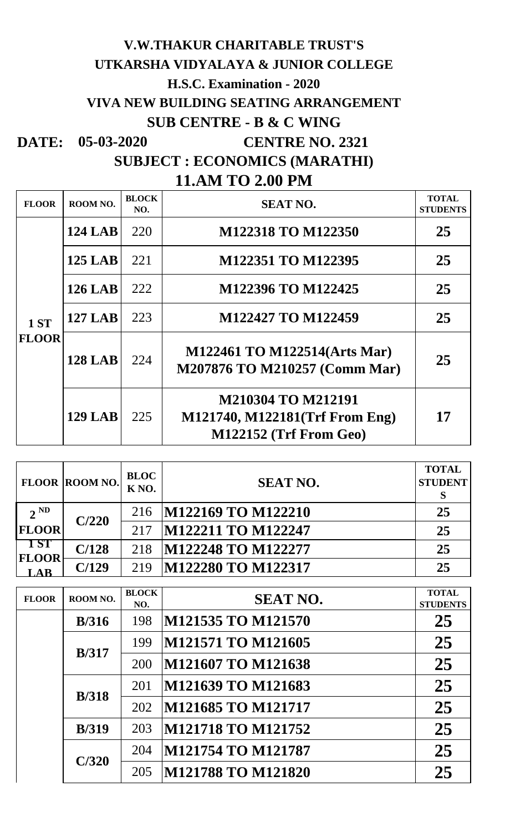## **VIVA NEW BUILDING SEATING ARRANGEMENT V.W.THAKUR CHARITABLE TRUST'S UTKARSHA VIDYALAYA & JUNIOR COLLEGE H.S.C. Examination - 2020 SUB CENTRE - B & C WING**

**DATE:** 05-03-2020 **CENTRE NO. 2321** 

**SUBJECT : ECONOMICS (MARATHI)**

|  |  |  | <b>11.AM TO 2.00 PM</b> |  |  |  |
|--|--|--|-------------------------|--|--|--|
|--|--|--|-------------------------|--|--|--|

| <b>FLOOR</b>                | ROOM NO.       | <b>BLOCK</b><br>NO. | <b>SEAT NO.</b>                                                                | <b>TOTAL</b><br><b>STUDENTS</b> |
|-----------------------------|----------------|---------------------|--------------------------------------------------------------------------------|---------------------------------|
| <b>1 ST</b><br><b>FLOOR</b> | <b>124 LAB</b> | 220                 | M122318 TO M122350                                                             | 25                              |
|                             | <b>125 LAB</b> | 221                 | M122351 TO M122395                                                             | 25                              |
|                             | <b>126 LAB</b> | 222                 | M122396 TO M122425                                                             | 25                              |
|                             | <b>127 LAB</b> | 223                 | M122427 TO M122459                                                             | 25                              |
|                             | <b>128 LAB</b> | 224                 | M122461 TO M122514(Arts Mar)<br>M207876 TO M210257 (Comm Mar)                  | 25                              |
|                             | <b>129 LAB</b> | 225                 | M210304 TO M212191<br>M121740, M122181(Trf From Eng)<br>M122152 (Trf From Geo) | 17                              |

|                     | <b>FLOOR ROOM NO.</b> | <b>BLOC</b><br>K <sub>NO</sub> . | <b>SEAT NO.</b>    | <b>TOTAL</b><br><b>STUDENT</b><br>S |
|---------------------|-----------------------|----------------------------------|--------------------|-------------------------------------|
| $2^{ND}$            | C/220                 | 216                              | M122169 TO M122210 | 25                                  |
| <b>FLOOR</b>        |                       | 217                              | M122211 TO M122247 | 25                                  |
| <b>15T</b>          | C/128                 | 218                              | M122248 TO M122277 | 25                                  |
| <b>FLOOR</b><br>LAB | C/129                 | 219                              | M122280 TO M122317 | 25                                  |

| <b>FLOOR</b> | ROOM NO.      | <b>BLOCK</b><br>NO. | <b>SEAT NO.</b>           | <b>TOTAL</b><br><b>STUDENTS</b> |
|--------------|---------------|---------------------|---------------------------|---------------------------------|
|              | B/316         | 198                 | M121535 TO M121570        | 25                              |
|              | B/317         | 199                 | M121571 TO M121605        | 25                              |
|              |               | 200                 | M121607 TO M121638        | 25                              |
|              |               | 201                 | M121639 TO M121683        | 25                              |
|              | <b>B</b> /318 | 202                 | M121685 TO M121717        | 25                              |
|              | <b>B</b> /319 | 203                 | M121718 TO M121752        | 25                              |
|              | C/320         | 204                 | <b>M121754 TO M121787</b> | 25                              |
|              |               | 205                 | M121788 TO M121820        | 25                              |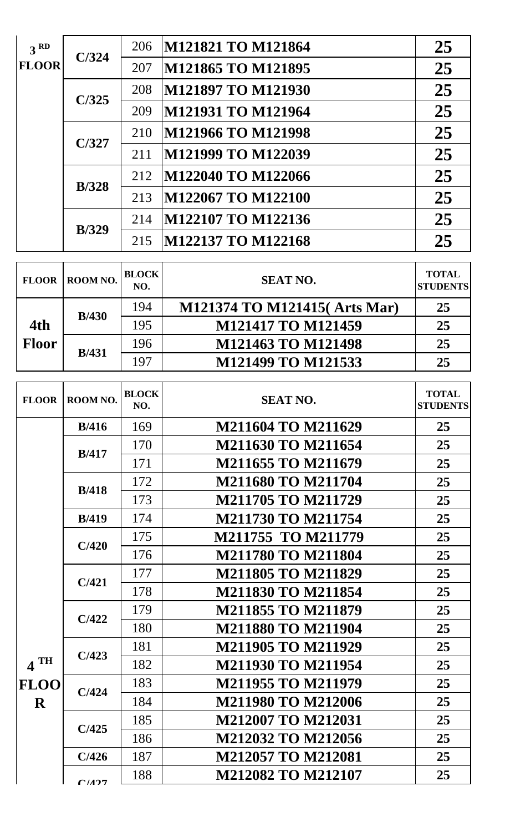| 3 <sup>RD</sup> | C/324         | 206 | M121821 TO M121864 | 25 |
|-----------------|---------------|-----|--------------------|----|
| <b>FLOOR</b>    |               | 207 | M121865 TO M121895 | 25 |
|                 | C/325         | 208 | M121897 TO M121930 | 25 |
|                 |               | 209 | M121931 TO M121964 | 25 |
|                 | C/327         | 210 | M121966 TO M121998 | 25 |
|                 |               | 211 | M121999 TO M122039 | 25 |
|                 | <b>B</b> /328 | 212 | M122040 TO M122066 | 25 |
|                 |               | 213 | M122067 TO M122100 | 25 |
|                 | <b>B</b> /329 | 214 | M122107 TO M122136 | 25 |
|                 |               | 215 | M122137 TO M122168 | 25 |

| <b>FLOOR</b>        | ROOM NO.      | <b>BLOCK</b><br>NO. | <b>SEAT NO.</b>              | <b>TOTAL</b><br><b>STUDENTS</b> |
|---------------------|---------------|---------------------|------------------------------|---------------------------------|
| 4th<br><b>Floor</b> | B/430         | 194                 | M121374 TO M121415(Arts Mar) | 25                              |
|                     |               | 195                 | <b>M121417 TO M121459</b>    | 25                              |
|                     | <b>B</b> /431 | 196                 | M121463 TO M121498           | 25                              |
|                     |               | 197                 | M121499 TO M121533           | 25                              |

| <b>FLOOR</b>      | ROOM NO.      | <b>BLOCK</b><br>NO. | <b>SEAT NO.</b>           | <b>TOTAL</b><br><b>STUDENTS</b> |
|-------------------|---------------|---------------------|---------------------------|---------------------------------|
|                   | B/416         | 169                 | M211604 TO M211629        | 25                              |
|                   | B/417         | 170                 | <b>M211630 TO M211654</b> | 25                              |
|                   |               | 171                 | M211655 TO M211679        | 25                              |
|                   | <b>B</b> /418 | 172                 | M211680 TO M211704        | 25                              |
|                   |               | 173                 | <b>M211705 TO M211729</b> | 25                              |
|                   | <b>B</b> /419 | 174                 | <b>M211730 TO M211754</b> | 25                              |
|                   | C/420         | 175                 | M211755 TO M211779        | 25                              |
|                   |               | 176                 | <b>M211780 TO M211804</b> | 25                              |
|                   | C/421         | 177                 | <b>M211805 TO M211829</b> | 25                              |
|                   |               | 178                 | <b>M211830 TO M211854</b> | 25                              |
|                   | C/422         | 179                 | <b>M211855 TO M211879</b> | 25                              |
|                   |               | 180                 | M211880 TO M211904        | 25                              |
|                   | C/423         | 181                 | <b>M211905 TO M211929</b> | 25                              |
| $4$ <sup>TH</sup> |               | 182                 | <b>M211930 TO M211954</b> | 25                              |
| <b>FLOO</b>       | C/424         | 183                 | M211955 TO M211979        | 25                              |
| $\mathbf R$       |               | 184                 | <b>M211980 TO M212006</b> | 25                              |
|                   | C/425         | 185                 | <b>M212007 TO M212031</b> | 25                              |
|                   |               | 186                 | M212032 TO M212056        | 25                              |
|                   | C/426         | 187                 | <b>M212057 TO M212081</b> | 25                              |
|                   | C/127         | 188                 | M212082 TO M212107        | 25                              |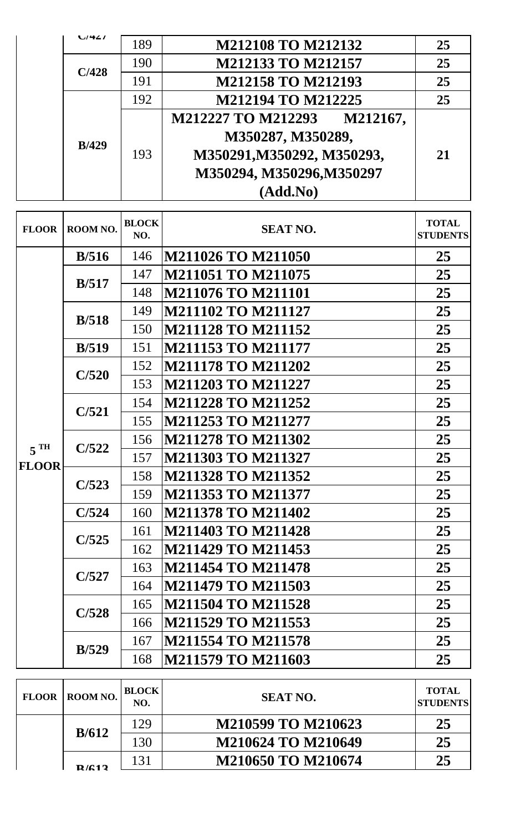| $U$ 44        | 189 | <b>M212108 TO M212132</b>             | 25 |
|---------------|-----|---------------------------------------|----|
|               | 190 | M212133 TO M212157                    | 25 |
| C/428         | 191 | <b>M212158 TO M212193</b>             | 25 |
|               | 192 | M212194 TO M212225                    | 25 |
|               |     | <b>M212227 TO M212293</b><br>M212167, |    |
| <b>B</b> /429 |     | M350287, M350289,                     |    |
|               | 193 | M350291, M350292, M350293,            | 21 |
|               |     | M350294, M350296, M350297             |    |
|               |     | (Add.No)                              |    |

| <b>FLOOR</b>      | ROOM NO.      | <b>BLOCK</b><br>NO.              | <b>SEAT NO.</b>           | <b>TOTAL</b><br><b>STUDENTS</b> |
|-------------------|---------------|----------------------------------|---------------------------|---------------------------------|
|                   | B/516         | 146                              | <b>M211026 TO M211050</b> | 25                              |
|                   |               | 147                              | <b>M211051 TO M211075</b> | 25                              |
|                   | B/517         | 148                              | <b>M211076 TO M211101</b> | 25                              |
|                   | B/518         | 149                              | <b>M211102 TO M211127</b> | 25                              |
|                   |               | 150                              | <b>M211128 TO M211152</b> | 25                              |
|                   | B/519         | 151                              | <b>M211153 TO M211177</b> | 25                              |
|                   | C/520         | 152                              | <b>M211178 TO M211202</b> | 25                              |
|                   |               | 153                              | <b>M211203 TO M211227</b> | 25                              |
|                   | C/521         | 154                              | <b>M211228 TO M211252</b> | 25                              |
|                   |               | 155                              | <b>M211253 TO M211277</b> | 25                              |
| $5$ <sup>TH</sup> | C/522         | 156                              | <b>M211278 TO M211302</b> | 25                              |
| <b>FLOOR</b>      |               | 157<br><b>M211303 TO M211327</b> | 25                        |                                 |
|                   | C/523         | 158                              | <b>M211328 TO M211352</b> | 25                              |
|                   |               | 159                              | <b>M211353 TO M211377</b> | 25                              |
|                   | C/524         | 160                              | <b>M211378 TO M211402</b> | 25                              |
|                   | C/525         | 161                              | <b>M211403 TO M211428</b> | 25                              |
|                   |               | 162                              | <b>M211429 TO M211453</b> | 25                              |
|                   | C/527         | 163                              | <b>M211454 TO M211478</b> | 25                              |
|                   |               | 164                              | M211479 TO M211503        | 25                              |
|                   | C/528         | 165                              | <b>M211504 TO M211528</b> | 25                              |
|                   |               | 166                              | M211529 TO M211553        | 25                              |
|                   | <b>B</b> /529 | 167                              | <b>M211554 TO M211578</b> | 25                              |
|                   |               | 168                              | M211579 TO M211603        | 25                              |

| <b>FLOOR</b> | ROOM NO. | <b>BLOCK</b><br>NO. | <b>SEAT NO.</b>    | <b>TOTAL</b><br><b>STUDENTS</b> |
|--------------|----------|---------------------|--------------------|---------------------------------|
|              |          | 129                 | M210599 TO M210623 | 25                              |
|              | B/612    | 130                 | M210624 TO M210649 | 25                              |
|              | D/612    | 131                 | M210650 TO M210674 | 25                              |
|              |          |                     |                    |                                 |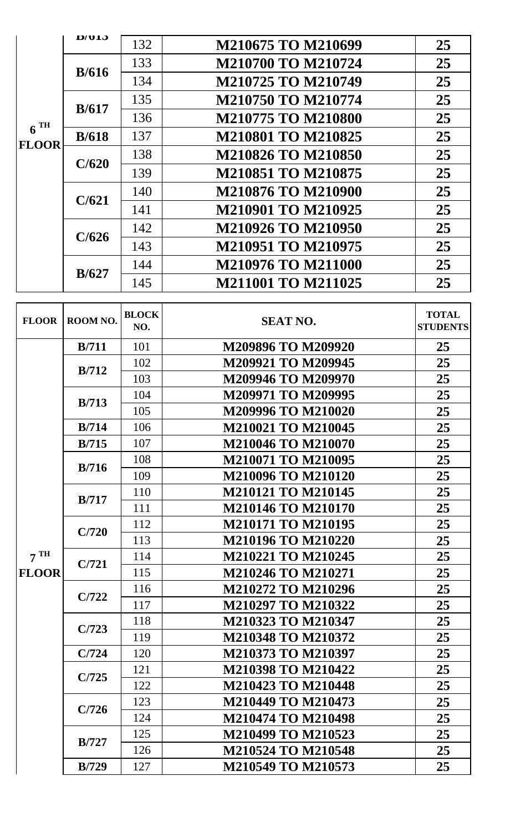|                                 | D/ULJ | 132 | M210675 TO M210699                                                                                                                                                                                                                                                        | 25 |
|---------------------------------|-------|-----|---------------------------------------------------------------------------------------------------------------------------------------------------------------------------------------------------------------------------------------------------------------------------|----|
|                                 |       | 133 | <b>M210700 TO M210724</b>                                                                                                                                                                                                                                                 | 25 |
|                                 | B/616 | 134 | <b>M210725 TO M210749</b><br>M210750 TO M210774<br><b>M210775 TO M210800</b><br><b>M210801 TO M210825</b><br><b>M210826 TO M210850</b><br><b>M210851 TO M210875</b><br><b>M210876 TO M210900</b><br><b>M210901 TO M210925</b><br>M210926 TO M210950<br>M210951 TO M210975 | 25 |
|                                 |       | 135 |                                                                                                                                                                                                                                                                           | 25 |
|                                 | B/617 | 136 |                                                                                                                                                                                                                                                                           | 25 |
| $6^{\text{TH}}$<br><b>FLOOR</b> | B/618 | 137 |                                                                                                                                                                                                                                                                           | 25 |
|                                 | C/620 | 138 |                                                                                                                                                                                                                                                                           | 25 |
|                                 |       | 139 |                                                                                                                                                                                                                                                                           | 25 |
|                                 |       | 140 |                                                                                                                                                                                                                                                                           | 25 |
|                                 | C/621 | 141 |                                                                                                                                                                                                                                                                           | 25 |
|                                 |       | 142 |                                                                                                                                                                                                                                                                           | 25 |
|                                 | C/626 | 143 |                                                                                                                                                                                                                                                                           | 25 |
|                                 |       | 144 | <b>M210976 TO M211000</b>                                                                                                                                                                                                                                                 | 25 |
|                                 | B/627 | 145 | <b>M211001 TO M211025</b>                                                                                                                                                                                                                                                 | 25 |

| <b>FLOOR</b>    | ROOM NO.                | <b>BLOCK</b><br>NO. | <b>SEAT NO.</b>           | <b>TOTAL</b><br><b>STUDENTS</b> |
|-----------------|-------------------------|---------------------|---------------------------|---------------------------------|
|                 | B/711                   | 101                 | M209896 TO M209920        | 25                              |
|                 | B/712                   | 102                 | M209921 TO M209945        | 25                              |
|                 |                         | 103                 | M209946 TO M209970        | 25                              |
|                 | B/713                   | 104                 | M209971 TO M209995        | 25                              |
|                 |                         | 105                 | M209996 TO M210020        | 25                              |
|                 | <b>B</b> /714           | 106                 | M210021 TO M210045        | 25                              |
|                 | B/715                   | 107                 | M210046 TO M210070        | 25                              |
|                 |                         | 108                 | M210071 TO M210095        | 25                              |
|                 | B/716<br>B/717<br>C/720 | 109                 | M210096 TO M210120        | 25                              |
|                 |                         | 110                 | <b>M210121 TO M210145</b> | 25                              |
|                 |                         | 111                 | M210146 TO M210170        | 25                              |
|                 |                         | 112                 | <b>M210171 TO M210195</b> | 25                              |
|                 |                         | 113                 | M210196 TO M210220        | 25                              |
| 7 <sup>TH</sup> | C/721                   | 114                 | M210221 TO M210245        | 25                              |
| <b>FLOOR</b>    |                         | 115                 | M210246 TO M210271        | 25                              |
|                 | C/722                   | 116                 | M210272 TO M210296        | 25                              |
|                 |                         | 117                 | M210297 TO M210322        | 25                              |
|                 |                         | 118                 | M210323 TO M210347        | 25                              |
|                 | C/723                   | 119                 | M210348 TO M210372        | 25                              |
|                 | C/724                   | 120                 | M210373 TO M210397        | 25                              |
|                 |                         | 121                 | M210398 TO M210422        | 25                              |
|                 | C/725                   | 122                 | <b>M210423 TO M210448</b> | 25                              |
|                 |                         | 123                 | M210449 TO M210473        | 25                              |
|                 | C/726                   | 124                 | <b>M210474 TO M210498</b> | 25                              |
|                 |                         | 125                 | M210499 TO M210523        | 25                              |
|                 | B/727                   | 126                 | <b>M210524 TO M210548</b> | 25                              |
|                 | <b>B</b> /729           | 127                 | M210549 TO M210573        | 25                              |